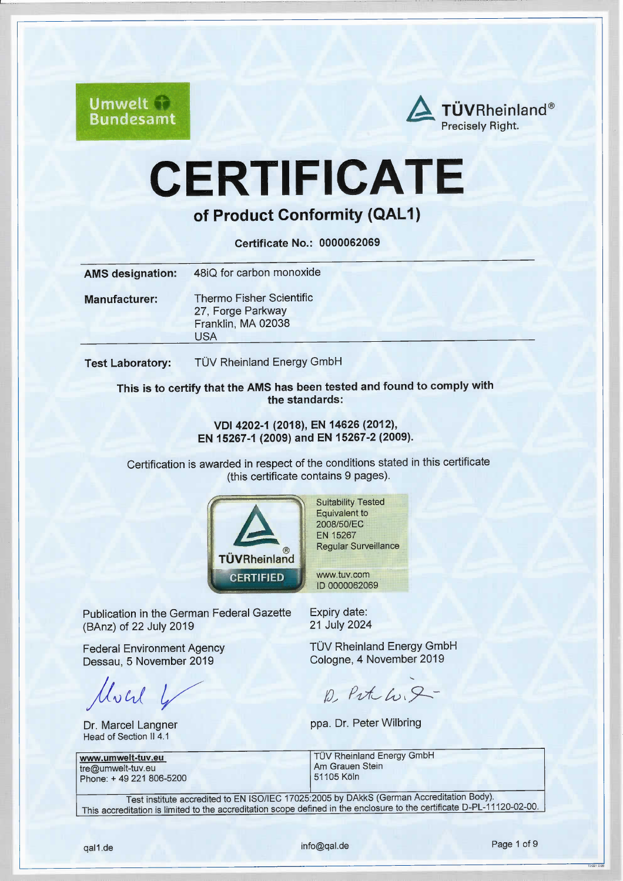

# **CERTIFICATE**

of Product Conformity (QAL1)

Certificate No.: 0000062069

| <b>AMS designation:</b> | 48iQ for carbon monoxide                                                          |
|-------------------------|-----------------------------------------------------------------------------------|
| <b>Manufacturer:</b>    | Thermo Fisher Scientific<br>27, Forge Parkway<br>Franklin, MA 02038<br><b>USA</b> |
| <b>Test Laboratory:</b> | TÜV Rheinland Energy GmbH                                                         |

This is to certify that the AMS has been tested and found to comply with the standards:

> VDl 4202-1 (2018), EN 14626 (2012), EN 15267-1 (2009) and EN 15267-2 (2009).

Certification is awarded in respect of the conditions stated in this certificate (this ceriificate contains 9 pages).



Suitability Tested Equivalent to 2008/50/EC EN 15267 Regular Surveillance

ww.tuv.com ID 0000062069

Publication in the German Federal Gazette (BAnz) of 22 July 2019

Federal Environment Agency Dessau, 5 November 2019

Much 4

Dr. Marcel Langner Head of Section II 4.1

www.umwelt-tuv.eu tre@umwelt-tuv.eu Phone: +49 221 806-5200 Expiry date: 21 July 2024

TÜV Rheinland Energy GmbH Cologne, 4 November 2019

El

 $D, Pvt\text{-}L, P$ 

ppa. Dr. Peter Wilbring

**TÜV Rheinland Energy GmbH** Am Grauen Stein 51105 Köln

Test institute accredited to EN ISO/IEC 17025:2005 by DAkkS (German Accreditation Body). This accreditation is limited to the accreditation scope defined in the enclosure to the certificate D-PL-11120-02-00.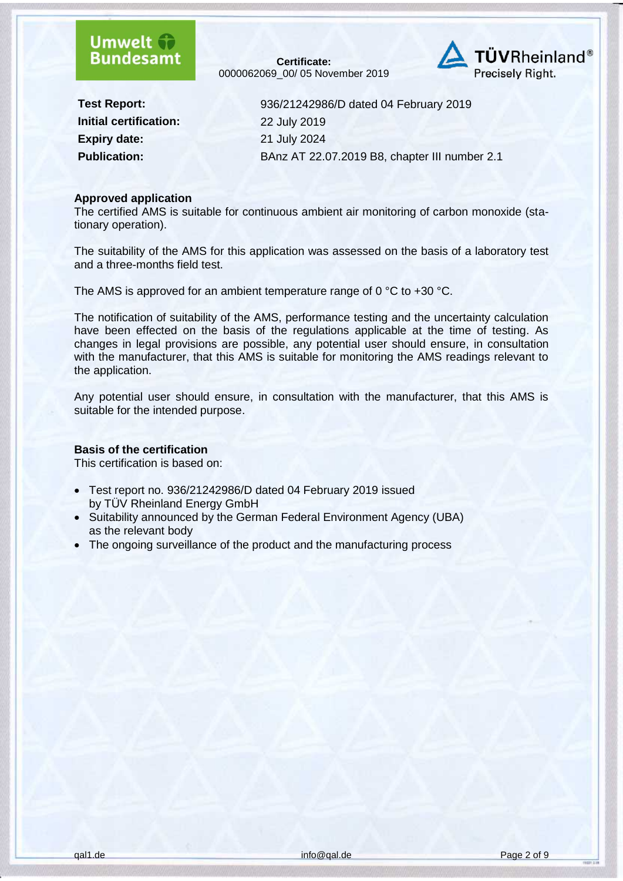### **Umwelt Bundesamt**

**Certificate:** [0000062069\\_](#page--1-0)00/ 05 [November 2019](#page--1-1)



**Initial certification:** [22 July 2019](#page--1-3) **Expiry date:** [21 July 2024](#page--1-4)

**Test Report:** [936/21242986/D dated 04 February 2019](#page--1-2) **Publication:** [BAnz AT 22.07.2019 B8, chapter III number 2.1](#page--1-5)

#### **Approved application**

The certified AMS is suitable for continuous ambient air monitoring of carbon monoxide (stationary operation).

The suitability of the AMS for this application was assessed on the basis of a laboratory test and a three-months field test.

The AMS is approved for an ambient temperature range of 0 °C to +30 °C.

The notification of suitability of the AMS, performance testing and the uncertainty calculation have been effected on the basis of the regulations applicable at the time of testing. As changes in legal provisions are possible, any potential user should ensure, in consultation with the manufacturer, that this AMS is suitable for monitoring the AMS readings relevant to the application.

Any potential user should ensure, in consultation with the manufacturer, that this AMS is suitable for the intended purpose.

#### **Basis of the certification**

This certification is based on:

- Test report no. [936/21242986/D dated 04 February 2019](#page--1-2) issued by TÜV Rheinland Energy GmbH
- Suitability announced by the German Federal Environment Agency (UBA) as the relevant body
- The ongoing surveillance of the product and the manufacturing process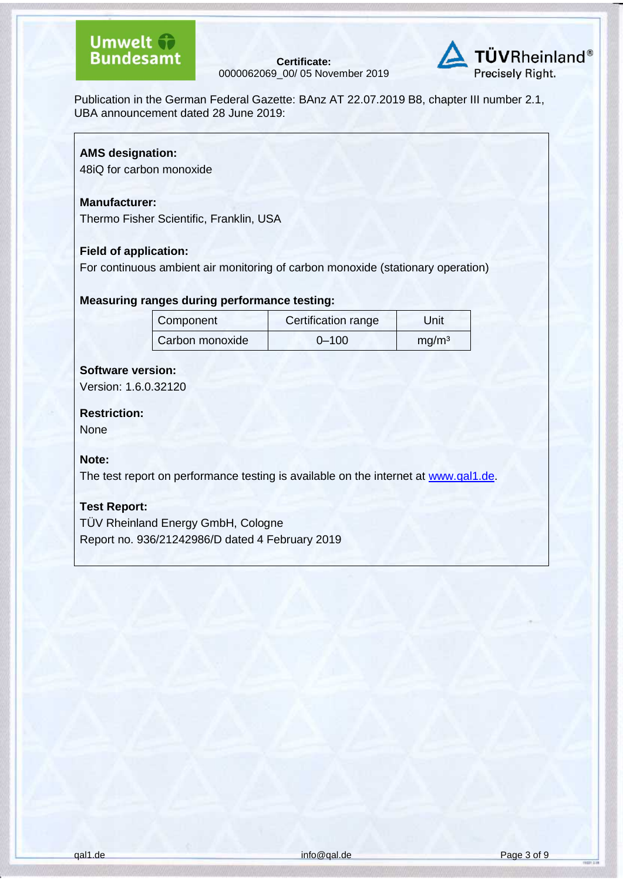**Certificate:** [0000062069\\_](#page--1-0)00/ 05 [November 2019](#page--1-1)



Publication in the German Federal Gazette: [BAnz AT 22.07.2019 B8, chapter III number 2.1,](#page--1-5) UBA announcement dated [28 June 2019:](#page--1-6)

#### **AMS designation:**

48iQ for carbon monoxide

#### **Manufacturer:**

[Thermo Fisher Scientific,](#page--1-7) Franklin, USA

#### **Field of application:**

For continuous ambient air monitoring of carbon monoxide (stationary operation)

#### **Measuring ranges during performance testing:**

| Component       | Certification range | Unit              |
|-----------------|---------------------|-------------------|
| Carbon monoxide | $0 - 100$           | mg/m <sup>3</sup> |

#### **Software version:**

Version: 1.6.0.32120

#### **Restriction:**

None

#### **Note:**

The test report on performance testing is available on the internet at [www.qal1.de.](http://www.qal1.de/)

#### **Test Report:**

TÜV Rheinland Energy GmbH, Cologne Report no. 936/21242986/D dated 4 February 2019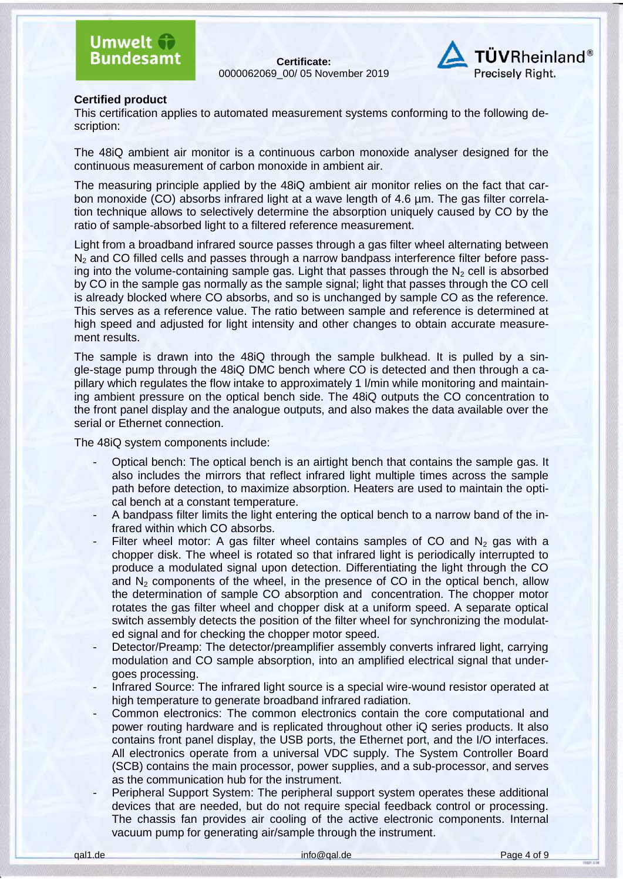**Certificate:** [0000062069\\_](#page--1-0)00/ 05 [November 2019](#page--1-1)



#### **Certified product**

This certification applies to automated measurement systems conforming to the following description:

The 48iQ ambient air monitor is a continuous carbon monoxide analyser designed for the continuous measurement of carbon monoxide in ambient air.

The measuring principle applied by the 48iQ ambient air monitor relies on the fact that carbon monoxide (CO) absorbs infrared light at a wave length of 4.6 µm. The gas filter correlation technique allows to selectively determine the absorption uniquely caused by CO by the ratio of sample-absorbed light to a filtered reference measurement.

Light from a broadband infrared source passes through a gas filter wheel alternating between N<sub>2</sub> and CO filled cells and passes through a narrow bandpass interference filter before passing into the volume-containing sample gas. Light that passes through the  $N<sub>2</sub>$  cell is absorbed by CO in the sample gas normally as the sample signal; light that passes through the CO cell is already blocked where CO absorbs, and so is unchanged by sample CO as the reference. This serves as a reference value. The ratio between sample and reference is determined at high speed and adjusted for light intensity and other changes to obtain accurate measurement results.

The sample is drawn into the 48iQ through the sample bulkhead. It is pulled by a single-stage pump through the 48iQ DMC bench where CO is detected and then through a capillary which regulates the flow intake to approximately 1 l/min while monitoring and maintaining ambient pressure on the optical bench side. The 48iQ outputs the CO concentration to the front panel display and the analogue outputs, and also makes the data available over the serial or Ethernet connection.

The 48iQ system components include:

- Optical bench: The optical bench is an airtight bench that contains the sample gas. It also includes the mirrors that reflect infrared light multiple times across the sample path before detection, to maximize absorption. Heaters are used to maintain the optical bench at a constant temperature.
- A bandpass filter limits the light entering the optical bench to a narrow band of the infrared within which CO absorbs.
- Filter wheel motor: A gas filter wheel contains samples of CO and  $N_2$  gas with a chopper disk. The wheel is rotated so that infrared light is periodically interrupted to produce a modulated signal upon detection. Differentiating the light through the CO and  $N<sub>2</sub>$  components of the wheel, in the presence of CO in the optical bench, allow the determination of sample CO absorption and concentration. The chopper motor rotates the gas filter wheel and chopper disk at a uniform speed. A separate optical switch assembly detects the position of the filter wheel for synchronizing the modulated signal and for checking the chopper motor speed.
- Detector/Preamp: The detector/preamplifier assembly converts infrared light, carrying modulation and CO sample absorption, into an amplified electrical signal that undergoes processing.
- Infrared Source: The infrared light source is a special wire-wound resistor operated at high temperature to generate broadband infrared radiation.
- Common electronics: The common electronics contain the core computational and power routing hardware and is replicated throughout other iQ series products. It also contains front panel display, the USB ports, the Ethernet port, and the I/O interfaces. All electronics operate from a universal VDC supply. The System Controller Board (SCB) contains the main processor, power supplies, and a sub-processor, and serves as the communication hub for the instrument.
- Peripheral Support System: The peripheral support system operates these additional devices that are needed, but do not require special feedback control or processing. The chassis fan provides air cooling of the active electronic components. Internal vacuum pump for generating air/sample through the instrument.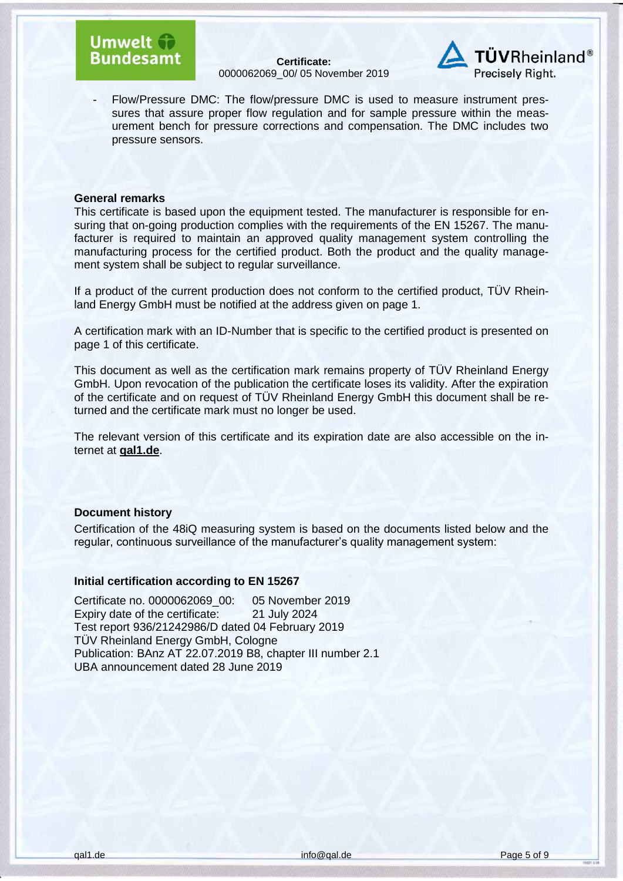### **Umwelt Bundesamt**

**Certificate:** [0000062069\\_](#page--1-0)00/ 05 [November 2019](#page--1-1)



- Flow/Pressure DMC: The flow/pressure DMC is used to measure instrument pressures that assure proper flow regulation and for sample pressure within the measurement bench for pressure corrections and compensation. The DMC includes two pressure sensors.

#### **General remarks**

This certificate is based upon the equipment tested. The manufacturer is responsible for ensuring that on-going production complies with the requirements of the EN 15267. The manufacturer is required to maintain an approved quality management system controlling the manufacturing process for the certified product. Both the product and the quality management system shall be subject to regular surveillance.

If a product of the current production does not conform to the certified product, TÜV Rheinland Energy GmbH must be notified at the address given on page 1.

A certification mark with an ID-Number that is specific to the certified product is presented on page 1 of this certificate.

This document as well as the certification mark remains property of TÜV Rheinland Energy GmbH. Upon revocation of the publication the certificate loses its validity. After the expiration of the certificate and on request of TÜV Rheinland Energy GmbH this document shall be returned and the certificate mark must no longer be used.

The relevant version of this certificate and its expiration date are also accessible on the internet at **qal1.de**.

#### **Document history**

Certification of the [48iQ](#page--1-8) measuring system is based on the documents listed below and the regular, continuous surveillance of the manufacturer's quality management system:

#### **Initial certification according to EN 15267**

Certificate no. [0000062069\\_](#page--1-0)00: 05 November 2019 Expiry date of the certificate: [21 July 2024](#page--1-4) Test report [936/21242986/D dated 04 February 2019](#page--1-2) TÜV Rheinland Energy GmbH, Cologne Publication: [BAnz AT 22.07.2019 B8, chapter III number 2.1](#page--1-5) UBA announcement dated [28 June 2019](#page--1-6)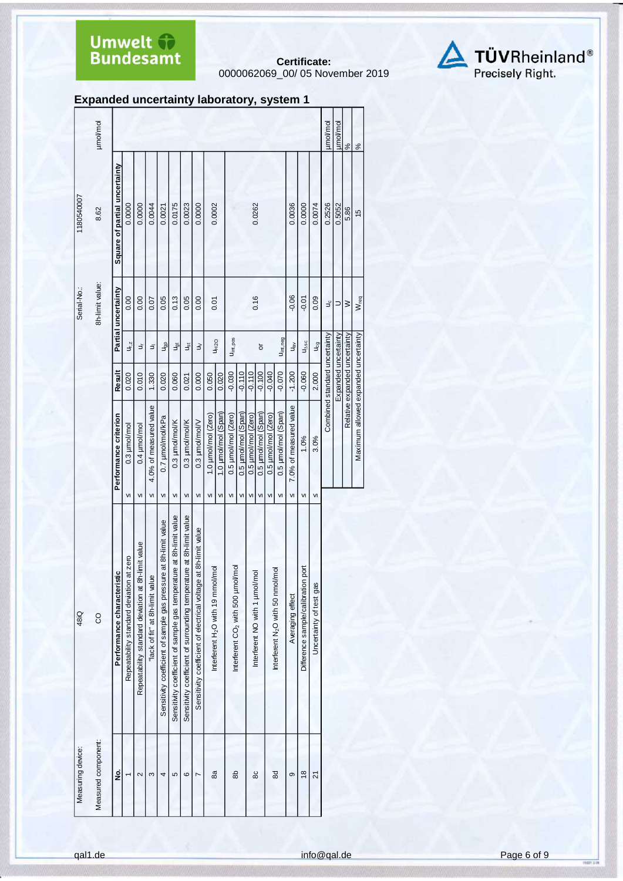**Certificate:** [0000062069\\_](#page--1-0)00/ 05 [November 2019](#page--1-1)



|  |  | <b>Expanded uncertainty laboratory, system 1</b> |  |
|--|--|--------------------------------------------------|--|
|--|--|--------------------------------------------------|--|

| 1180540007  | umol/mol<br>8.62    | Square of partial uncertainty | 0.0000                                   |                                                        | 0.0000                          | 0.0044 | 0.0021                                                              | 0.0175                                                              | 0.0023                                                               | 0.0000                                                             |                     | 0.0002                                        |                       |                                               |                     | 0.0262                        |                     |                                               | 0.0036                 | 0.0000                             | 0.0074                  | µmol/mol<br>0.2526            | umol/mol<br>0.5052   | $\frac{5}{6}$<br>5.86         |
|-------------|---------------------|-------------------------------|------------------------------------------|--------------------------------------------------------|---------------------------------|--------|---------------------------------------------------------------------|---------------------------------------------------------------------|----------------------------------------------------------------------|--------------------------------------------------------------------|---------------------|-----------------------------------------------|-----------------------|-----------------------------------------------|---------------------|-------------------------------|---------------------|-----------------------------------------------|------------------------|------------------------------------|-------------------------|-------------------------------|----------------------|-------------------------------|
| Serial-No.: | 8h-limit value:     |                               | 0.00                                     | 0.00                                                   |                                 | 0.07   | 0.05                                                                | 0.13                                                                | 0.05                                                                 | 0.00                                                               |                     | 0.01                                          |                       |                                               |                     | 0.16                          |                     |                                               | $-0.06$                | $-0.01$                            | 0.09                    | υç                            | ⊃                    | $\geq$                        |
|             |                     | Partial uncertainty           | u <sub>r, z</sub>                        | さ                                                      |                                 | ョ      | u <sub>gp</sub>                                                     | <b>J</b> <sub>ot</sub>                                              | اقِ                                                                  | $\geq$                                                             |                     | U <sub>H2</sub> O                             | U <sub>int, pos</sub> |                                               |                     | ð                             |                     | U <sub>int, neg</sub>                         | u <sub>sv</sub>        | $U_{\Delta S C}$                   | Jcg                     |                               |                      |                               |
|             |                     | Result                        | 0.020                                    | 0.010                                                  | 1.330                           |        | 0.020                                                               | 0.060                                                               | 0.021                                                                | 0.000                                                              | 0.050               | 0.020                                         | $-0.030$              | $-0.110$                                      | $-0.110$            | $-0.100$                      | $-0.040$            | $-0.070$                                      | $-1.200$               | $-0.060$                           | 2.000                   | Combined standard uncertainty | Expanded uncertainty | Relative expanded uncertainty |
|             |                     | Performance criterion         | $0.3$ $\mu$ mol/mol                      | 0.4 µmol/mol                                           | 4.0% of measured value          |        | 0.7 µmol/mol/kPa                                                    | 0.3 µmol/mol/K                                                      | 0.3 µmol/mol/K                                                       | 0.3 µmol/mol/V                                                     | 1.0 µmol/mol (Zero) | 1.0 µmol/mol (Span)                           | 0.5 µmol/mol (Zero)   | 0.5 µmol/mol (Span)                           | 0.5 µmol/mol (Zero) | 0.5 µmol/mol (Span)           | 0.5 µmol/mol (Zero) | 0.5 µmol/mol (Span)                           | 7.0% of measured value | 1.0%                               | 3.0%                    |                               |                      |                               |
|             |                     |                               | VI                                       | VI                                                     | VI                              |        | VI                                                                  | VI                                                                  | VI                                                                   | VI                                                                 | VI                  | VI                                            | VI                    | VI                                            | VI                  | VI                            | VI                  | VI                                            | VI                     | VI                                 | VI                      |                               |                      |                               |
| 48iQ        | S                   | Performance characteristic    | Repeatability standard deviation at zero | limit value<br>Repeatability standard deviation at 8h- | "lack of fit" at 8h-limit value |        | at 8h-limit value<br>Sensitivity coefficient of sample gas pressure | Sensitivity coefficient of sample gas temperature at 8h-limit value | Sensitivity coefficient of surrounding temperature at 8h-limit value | 8h-limit value<br>Sensitivity coefficient of electrical voltage at |                     | Interferent H <sub>2</sub> O with 19 mmol/mol |                       | Interferent CO <sub>2</sub> with 500 µmol/mol |                     | Interferent NO with 1 µmol/mo |                     | Interferent N <sub>2</sub> O with 50 nmol/mol | Averaging effect       | Difference sample/calibration port | Uncertainty of test gas |                               |                      |                               |
|             |                     |                               |                                          |                                                        |                                 |        |                                                                     |                                                                     |                                                                      |                                                                    |                     |                                               |                       |                                               |                     |                               |                     |                                               |                        |                                    |                         |                               |                      |                               |
|             | Measured component: | ġ                             |                                          | 2                                                      | S                               |        | 4                                                                   | 5                                                                   | ဖ                                                                    | Ľ                                                                  |                     | 8a                                            |                       | 8b                                            |                     | 80                            |                     | 8d                                            | ၜ                      | $\frac{8}{2}$                      | 21                      |                               |                      |                               |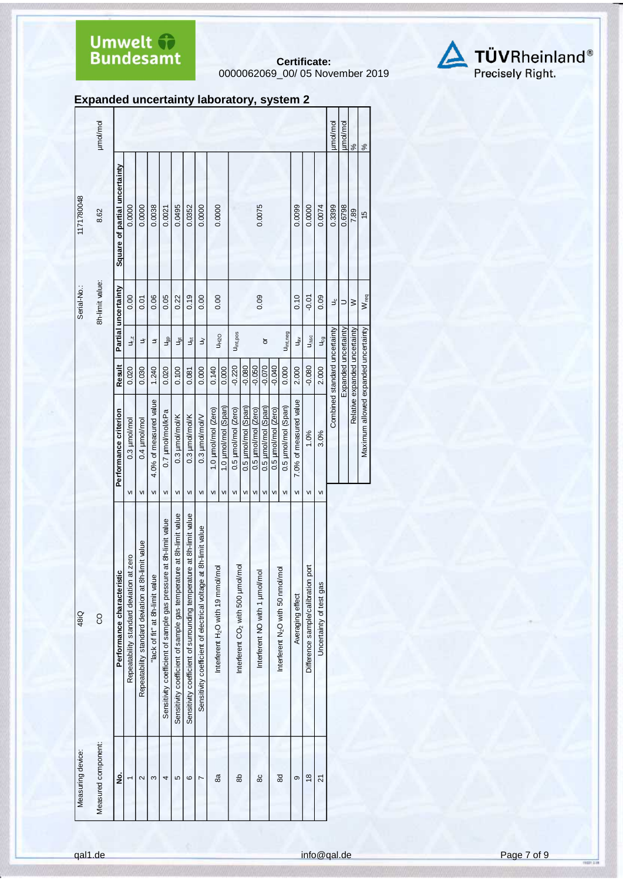**Certificate:** [0000062069\\_](#page--1-0)00/ 05 [November 2019](#page--1-1)



|                   | µmol/mol           |                               |                                             |                                                    |                                 |                                                                  |                                                                     |                                                                      |                                                                    |                                               |                           |                                               |                           |                           |                                      |                           |                                               |                                    |                                       |                         | umol/mol                      | umol/mol             | $\frac{8}{6}$                 |  |
|-------------------|--------------------|-------------------------------|---------------------------------------------|----------------------------------------------------|---------------------------------|------------------------------------------------------------------|---------------------------------------------------------------------|----------------------------------------------------------------------|--------------------------------------------------------------------|-----------------------------------------------|---------------------------|-----------------------------------------------|---------------------------|---------------------------|--------------------------------------|---------------------------|-----------------------------------------------|------------------------------------|---------------------------------------|-------------------------|-------------------------------|----------------------|-------------------------------|--|
| 1171780048        | 8.62               | Square of partial uncertainty | 0.0000                                      | 0.0000                                             | 0.0038                          | 0.0021                                                           | 0.0495                                                              | 0.0352                                                               | 0.0000                                                             | 0.0000                                        |                           |                                               |                           |                           | 0.0075                               |                           |                                               | 0.0099                             | 0.0000                                | 0.0074                  | 0.3399                        | 0.6798               | 7.89                          |  |
| Serial-No.:       | 8h-limit value:    | Partial uncertainty           | 0.00                                        | 0.01                                               | 0.06                            | 0.05                                                             | 0.22                                                                | 0.19                                                                 | 0.00                                                               | 0.00                                          |                           |                                               |                           |                           | 0.09                                 |                           |                                               | 0.10                               | $-0.01$                               | 0.09                    | ٩ç                            | ⊃                    | $\geq$                        |  |
|                   |                    |                               | $U_{r,z}$                                   | さ                                                  | ミ                               | a <sup>e</sup>                                                   | ğ                                                                   | نځ                                                                   | $\gtrless$                                                         |                                               | <b>U<sub>H2</sub></b>     | U <sub>int, pos</sub>                         |                           |                           | ð                                    |                           | U <sub>int, neg</sub>                         | $\mathbb{u}_\mathsf{B}^\mathsf{w}$ | U <sub>ASC</sub>                      | U <sub>cg</sub>         |                               |                      |                               |  |
|                   |                    | Result                        | 0.020                                       | 0.030                                              | 1.240                           | 0.020                                                            | 0.100                                                               | 0.081                                                                | 0.000                                                              | 0.140                                         | 0.000                     | $-0.220$                                      | $-0.080$                  | $-0.050$                  | $-0.070$                             | $-0.040$                  | 0.000                                         | 2.000                              | $-0.080$                              | 2.000                   | Combined standard uncertainty | Expanded uncertainty | Relative expanded uncertainty |  |
|                   |                    | Performance criterion         | 0.3 µmol/mol<br>VI                          | 0.4 µmol/mol<br>VI                                 | 4.0% of measured value<br>VI    | 0.7 µmol/mol/kPa<br>VI                                           | 0.3 µmol/mol/K<br>VI                                                | 0.3 µmol/mol/K<br>${\sf VI}$                                         | 0.3 µmol/mol/V<br>VI                                               | 1.0 µmol/mol (Zero)<br>VI                     | 1.0 umol/mol (Span)<br>VI | 0.5 µmol/mol (Zero)<br>$\mathsf{v}$           | 0.5 µmol/mol (Span)<br>VI | 0.5 µmol/mol (Zero)<br>VI | 0.5 µmol/mol (Span)<br>$\mathsf{VI}$ | 0.5 µmol/mol (Zero)<br>VI | 0.5 µmol/mol (Span)<br>VI                     | 7.0% of measured value<br>VI       | 1.0%<br>VI                            | 3.0%<br>VI              |                               |                      |                               |  |
| 48iQ              | 8                  | Performance characteristic    | at zero<br>Repeatability standard deviation | Repeatability standard deviation at 8h-limit value | 'lack of fit" at 8h-limit value | Sensitivity coefficient of sample gas pressure at 8h-limit value | Sensitivity coefficient of sample gas temperature at 8h-limit value | Sensitivity coefficient of surrounding temperature at 8h-limit value | at 8h-limit value<br>Sensitivity coefficient of electrical voltage | Interferent H <sub>2</sub> O with 19 mmol/mol |                           | Interferent CO <sub>2</sub> with 500 µmol/mol |                           |                           | Interferent NO with 1 umol/mol       |                           | Interferent N <sub>2</sub> O with 50 nmol/mol | Averaging effect                   | port<br>Difference sample/calibration | Uncertainty of test gas |                               |                      |                               |  |
| Measuring device: | Measured component | g                             |                                             | 2                                                  | S                               | 4                                                                | 5                                                                   | $\circ$                                                              | L                                                                  | 8a                                            |                           | 8                                             |                           |                           | 80                                   |                           | 88                                            | တ                                  | $\frac{8}{2}$                         | 21                      |                               |                      |                               |  |

**Expanded uncertainty laboratory, system 2**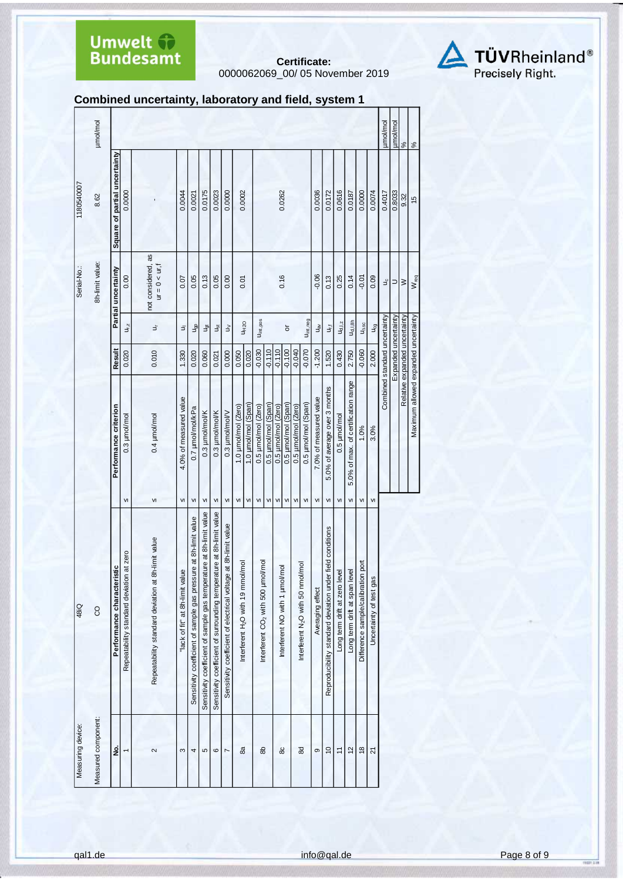**Certificate:** [0000062069\\_](#page--1-0)00/ 05 [November 2019](#page--1-1)



#### **Combined uncertainty, laboratory and field, system 1**

| Measuring device:   | 48iQ                                                                 |    |                                      |                      |                                  | Serial-No.:                           | 1180540007                    |               |
|---------------------|----------------------------------------------------------------------|----|--------------------------------------|----------------------|----------------------------------|---------------------------------------|-------------------------------|---------------|
| Measured component: | <b>CO</b>                                                            |    |                                      |                      |                                  | 8h-limit value:                       | 8.62                          | µmol/mol      |
| ş                   | Performance characteristic                                           |    | Performance criterion                | Result               |                                  | Partial uncertainty                   | Square of partial uncertainty |               |
| $\overline{ }$      | at zero<br>Repeatability standard deviation                          | VI | 0.3 µmol/mol                         | 0.020                | $U_{r,z}$                        | 0.00                                  | 0.0000                        |               |
| 2                   | Repeatability standard deviation at 8h-limit value                   | VI | 0.4 µmol/mol                         | 0.010                | さ                                | not considered, as<br>$ur = 0 < ur$ , |                               |               |
| S                   | "lack of fit" at 8h-limit value                                      | VI | 4.0% of measured value               | 1.330                | Ξ                                | 0.07                                  | 0.0044                        |               |
| 4                   | Sensitivity coefficient of sample gas pressure at 8h-limit value     | VI | 0.7 µmol/mol/kPa                     | 0.020                | a<br>P                           | 0.05                                  | 0.0021                        |               |
| 5                   | Sensitivity coefficient of sample gas temperature at 8h-limit value  | VI | 0.3 µmol/mol/K                       | 0.060                | ğ                                | 0.13                                  | 0.0175                        |               |
| $\circ$             | Sensitivity coefficient of surrounding temperature at 8h-limit value | VI | 0.3 µmol/mol/K                       | 0.021                | $\breve{\mathbb{S}}$             | 0.05                                  | 0.0023                        |               |
| $\overline{ }$      | at 8h-limit value<br>Sensitivity coefficient of electrical voltage   | VI | 0.3 µmol/mol/V                       | 0.000                | $\gtrless$                       | 0.00                                  | 0.0000                        |               |
| 8a                  | Interferent H <sub>2</sub> O with 19 mmol/mol                        | VI | 1.0 µmol/mol (Zero)                  | 0.050                | <b>UH2O</b>                      | 0.01                                  | 0.0002                        |               |
|                     |                                                                      | VI | 1.0 µmol/mol (Span)                  | 0.020                |                                  |                                       |                               |               |
| கி                  | Interferent CO <sub>2</sub> with 500 µmol/mol                        | VI | 0.5 µmol/mol (Zero)                  | $-0.030$             | U <sub>int, pos</sub>            |                                       |                               |               |
|                     |                                                                      | VI | 0.5 µmol/mol (Span)                  | $-0.110$             |                                  |                                       |                               |               |
| 80                  | Interferent NO with 1 µmol/mol                                       | VI | 0.5 µmol/mol (Zero)                  | $-0.110$             |                                  | 0.16                                  | 0.0262                        |               |
|                     |                                                                      | VI | 0.5 µmol/mol (Span)                  | $-0.100$             | $\overline{5}$                   |                                       |                               |               |
|                     |                                                                      | VI | 0.5 µmol/mol (Zero)                  | $-0.040$             |                                  |                                       |                               |               |
| 88                  | Interferent N <sub>2</sub> O with 50 nmol/mol                        | VI | 0.5 µmol/mol (Span)                  | $-0.070$             | U <sub>int, neg</sub>            |                                       |                               |               |
| တ                   | Averaging effect                                                     | VI | 7.0% of measured value               | $-1.200$             | $\mathfrak{a}^{\mathsf{w}}$      | $-0.06$                               | 0.0036                        |               |
| $\circ$             | field conditions<br>Reproducibility standard deviation under         | VI | 5.0% of average over 3 months        | 1.520                | J,i                              | 0.13                                  | 0.0172                        |               |
| $\overline{1}$      | Long term drift at zero level                                        | VI | 0.5 µmol/mol                         | 0.430                | $U_{d, l, z}$                    | 0.25                                  | 0.0616                        |               |
| $\frac{2}{3}$       | Long term drift at span level                                        | VI | 5.0% of max. of certification range  | 2.750                | $U_{d, l, 8h}$                   | 0.14                                  | 0.0187                        |               |
| $\frac{8}{2}$       | port<br>Difference sample/calibration                                | VI | 1.0%                                 | $-0.060$             | $\mathsf{u}_{\Delta\mathsf{sc}}$ | $-0.01$                               | 0.0000                        |               |
| $\overline{2}$      | Uncertainty of test gas                                              | VI | 3.0%                                 | 2.000                | U <sub>cg</sub>                  | 0.09                                  | 0.0074                        |               |
|                     |                                                                      |    | Combined standard uncertainty        |                      |                                  | ಕೆ                                    | 0.4017                        | µmol/mol      |
|                     |                                                                      |    |                                      | Expanded uncertainty |                                  | $\Rightarrow$                         | 0.8033                        | umol/mol      |
|                     |                                                                      |    | Relative expanded uncertainty        |                      |                                  | $\geq$                                | 9.32                          | $\frac{8}{3}$ |
|                     |                                                                      |    | Maximum allowed expanded uncertainty |                      |                                  | W <sub>req</sub>                      | $\frac{15}{2}$                | $\frac{5}{6}$ |
|                     |                                                                      |    |                                      |                      |                                  |                                       |                               |               |